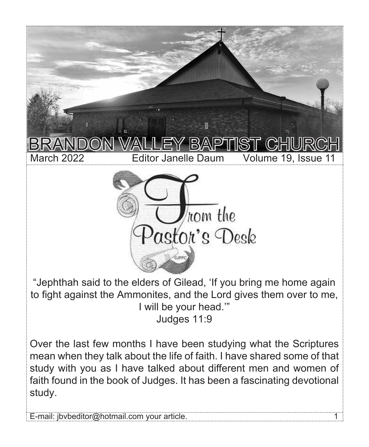

"Jephthah said to the elders of Gilead, 'If you bring me home again to fight against the Ammonites, and the Lord gives them over to me, I will be your head.'" Judges 11:9

Over the last few months I have been studying what the Scriptures mean when they talk about the life of faith. I have shared some of that study with you as I have talked about different men and women of faith found in the book of Judges. It has been a fascinating devotional study.

E-mail: jbvbeditor@hotmail.com your article. 1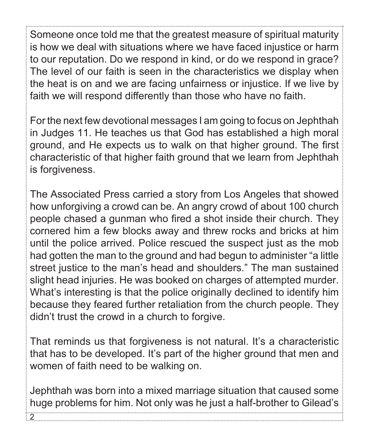Someone once told me that the greatest measure of spiritual maturity is how we deal with situations where we have faced injustice or harm to our reputation. Do we respond in kind, or do we respond in grace? The level of our faith is seen in the characteristics we display when the heat is on and we are facing unfairness or injustice. If we live by faith we will respond differently than those who have no faith.

For the next few devotional messages I am going to focus on Jephthah in Judges 11. He teaches us that God has established a high moral ground, and He expects us to walk on that higher ground. The first characteristic of that higher faith ground that we learn from Jephthah is forgiveness.

The Associated Press carried a story from Los Angeles that showed how unforgiving a crowd can be. An angry crowd of about 100 church people chased a gunman who fired a shot inside their church. They cornered him a few blocks away and threw rocks and bricks at him until the police arrived. Police rescued the suspect just as the mob had gotten the man to the ground and had begun to administer "a little street justice to the man's head and shoulders." The man sustained slight head injuries. He was booked on charges of attempted murder. What's interesting is that the police originally declined to identify him because they feared further retaliation from the church people. They didn't trust the crowd in a church to forgive.

That reminds us that forgiveness is not natural. It's a characteristic that has to be developed. It's part of the higher ground that men and women of faith need to be walking on.

Jephthah was born into a mixed marriage situation that caused some huge problems for him. Not only was he just a half-brother to Gilead's

2.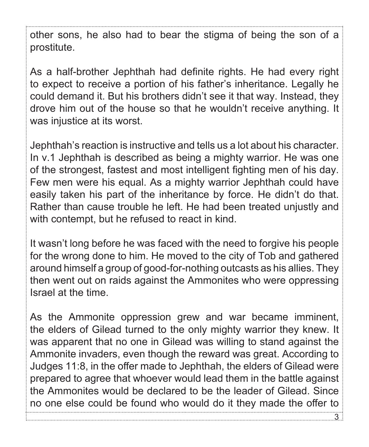other sons, he also had to bear the stigma of being the son of a prostitute.

As a half-brother Jephthah had definite rights. He had every right to expect to receive a portion of his father's inheritance. Legally he could demand it. But his brothers didn't see it that way. Instead, they drove him out of the house so that he wouldn't receive anything. It was injustice at its worst.

Jephthah's reaction is instructive and tells us a lot about his character. In v.1 Jephthah is described as being a mighty warrior. He was one of the strongest, fastest and most intelligent fighting men of his day. Few men were his equal. As a mighty warrior Jephthah could have easily taken his part of the inheritance by force. He didn't do that. Rather than cause trouble he left. He had been treated unjustly and with contempt, but he refused to react in kind.

It wasn't long before he was faced with the need to forgive his people for the wrong done to him. He moved to the city of Tob and gathered around himself a group of good-for-nothing outcasts as his allies. They then went out on raids against the Ammonites who were oppressing Israel at the time.

As the Ammonite oppression grew and war became imminent, the elders of Gilead turned to the only mighty warrior they knew. It was apparent that no one in Gilead was willing to stand against the Ammonite invaders, even though the reward was great. According to Judges 11:8, in the offer made to Jephthah, the elders of Gilead were prepared to agree that whoever would lead them in the battle against the Ammonites would be declared to be the leader of Gilead. Since no one else could be found who would do it they made the offer to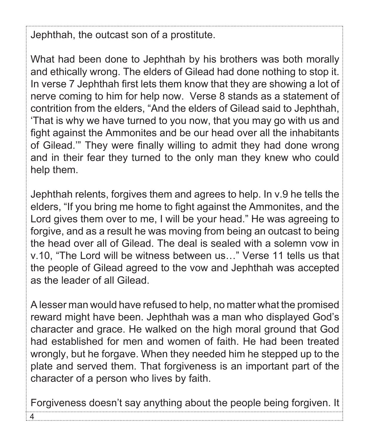Jephthah, the outcast son of a prostitute.

What had been done to Jephthah by his brothers was both morally and ethically wrong. The elders of Gilead had done nothing to stop it. In verse 7 Jephthah first lets them know that they are showing a lot of nerve coming to him for help now. Verse 8 stands as a statement of contrition from the elders, "And the elders of Gilead said to Jephthah, 'That is why we have turned to you now, that you may go with us and fight against the Ammonites and be our head over all the inhabitants of Gilead.'" They were finally willing to admit they had done wrong and in their fear they turned to the only man they knew who could help them.

Jephthah relents, forgives them and agrees to help. In v.9 he tells the elders, "If you bring me home to fight against the Ammonites, and the Lord gives them over to me, I will be your head." He was agreeing to forgive, and as a result he was moving from being an outcast to being the head over all of Gilead. The deal is sealed with a solemn vow in v.10, "The Lord will be witness between us…" Verse 11 tells us that the people of Gilead agreed to the vow and Jephthah was accepted as the leader of all Gilead.

A lesser man would have refused to help, no matter what the promised reward might have been. Jephthah was a man who displayed God's character and grace. He walked on the high moral ground that God had established for men and women of faith. He had been treated wrongly, but he forgave. When they needed him he stepped up to the plate and served them. That forgiveness is an important part of the character of a person who lives by faith.

Forgiveness doesn't say anything about the people being forgiven. It

4.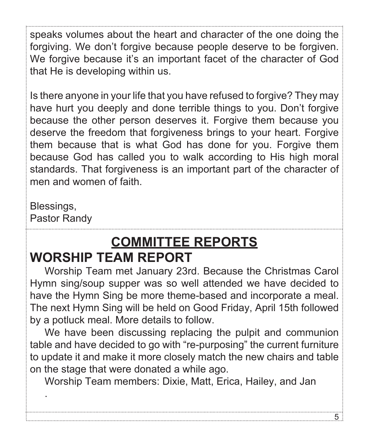speaks volumes about the heart and character of the one doing the forgiving. We don't forgive because people deserve to be forgiven. We forgive because it's an important facet of the character of God that He is developing within us.

Is there anyone in your life that you have refused to forgive? They may have hurt you deeply and done terrible things to you. Don't forgive because the other person deserves it. Forgive them because you deserve the freedom that forgiveness brings to your heart. Forgive them because that is what God has done for you. Forgive them because God has called you to walk according to His high moral standards. That forgiveness is an important part of the character of men and women of faith.

## Blessings,

.

Pastor Randy

# **COMMITTEE REPORTS WORSHIP TEAM REPORT**

Worship Team met January 23rd. Because the Christmas Carol Hymn sing/soup supper was so well attended we have decided to have the Hymn Sing be more theme-based and incorporate a meal. The next Hymn Sing will be held on Good Friday, April 15th followed by a potluck meal. More details to follow.

We have been discussing replacing the pulpit and communion table and have decided to go with "re-purposing" the current furniture to update it and make it more closely match the new chairs and table on the stage that were donated a while ago.

Worship Team members: Dixie, Matt, Erica, Hailey, and Jan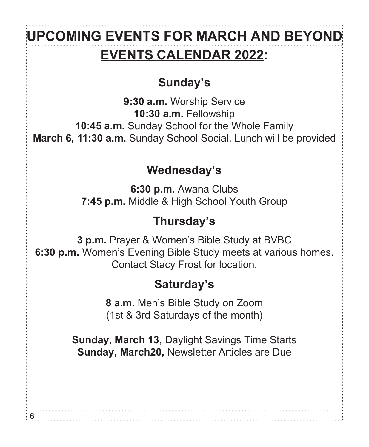# **EVENTS CALENDAR 2022:** UPCOMING EVENTS FOR MARCH AND BEYON**I**

## **Sunday's**

**9:30 a.m.** Worship Service **10:30 a.m.** Fellowship **10:45 a.m.** Sunday School for the Whole Family **March 6, 11:30 a.m.** Sunday School Social, Lunch will be provided

## **Wednesday's**

**6:30 p.m.** Awana Clubs **7:45 p.m.** Middle & High School Youth Group

## **Thursday's**

**3 p.m.** Prayer & Women's Bible Study at BVBC **6:30 p.m.** Women's Evening Bible Study meets at various homes. Contact Stacy Frost for location.

## **Saturday's**

**8 a.m.** Men's Bible Study on Zoom (1st & 3rd Saturdays of the month)

**Sunday, March 13,** Daylight Savings Time Starts **Sunday, March20,** Newsletter Articles are Due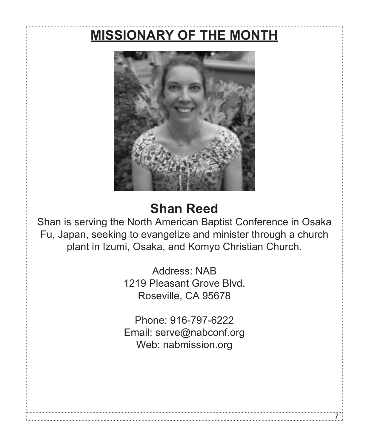# **MISSIONARY OF THE MONTH**



# **Shan Reed**

Shan is serving the North American Baptist Conference in Osaka Fu, Japan, seeking to evangelize and minister through a church plant in Izumi, Osaka, and Komyo Christian Church.

> Address: NAB 1219 Pleasant Grove Blvd. Roseville, CA 95678

> Phone: 916-797-6222 Email: serve@nabconf.org Web: nabmission.org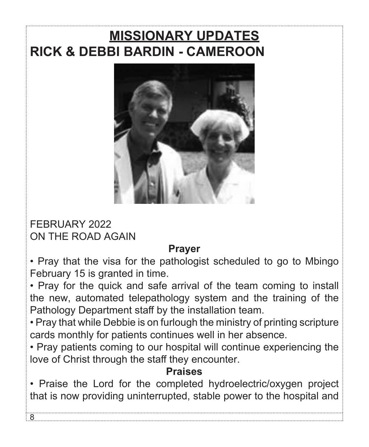# **MISSIONARY UPDATES RICK & DEBBI BARDIN - CAMEROON**



FEBRUARY 2022 ON THE ROAD AGAIN

### **Prayer**

• Pray that the visa for the pathologist scheduled to go to Mbingo February 15 is granted in time.

• Pray for the quick and safe arrival of the team coming to install the new, automated telepathology system and the training of the Pathology Department staff by the installation team.

• Pray that while Debbie is on furlough the ministry of printing scripture cards monthly for patients continues well in her absence.

• Pray patients coming to our hospital will continue experiencing the love of Christ through the staff they encounter.

### **Praises**

• Praise the Lord for the completed hydroelectric/oxygen project that is now providing uninterrupted, stable power to the hospital and

 $\beta$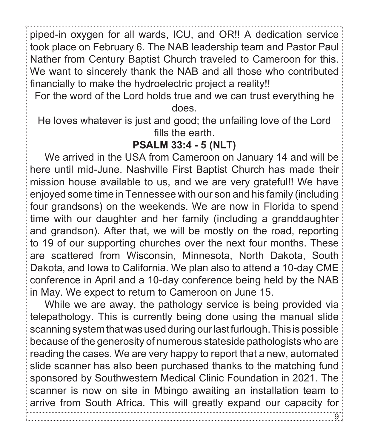piped-in oxygen for all wards, ICU, and OR!! A dedication service took place on February 6. The NAB leadership team and Pastor Paul Nather from Century Baptist Church traveled to Cameroon for this. We want to sincerely thank the NAB and all those who contributed financially to make the hydroelectric project a reality!!

For the word of the Lord holds true and we can trust everything he does.

He loves whatever is just and good; the unfailing love of the Lord fills the earth.

### **PSALM 33:4 - 5 (NLT)**

We arrived in the USA from Cameroon on January 14 and will be here until mid-June. Nashville First Baptist Church has made their mission house available to us, and we are very grateful!! We have enjoyed some time in Tennessee with our son and his family (including four grandsons) on the weekends. We are now in Florida to spend time with our daughter and her family (including a granddaughter and grandson). After that, we will be mostly on the road, reporting to 19 of our supporting churches over the next four months. These are scattered from Wisconsin, Minnesota, North Dakota, South Dakota, and Iowa to California. We plan also to attend a 10-day CME conference in April and a 10-day conference being held by the NAB in May. We expect to return to Cameroon on June 15.

While we are away, the pathology service is being provided via telepathology. This is currently being done using the manual slide scanning system that was used during our last furlough. This is possible because of the generosity of numerous stateside pathologists who are reading the cases. We are very happy to report that a new, automated slide scanner has also been purchased thanks to the matching fund sponsored by Southwestern Medical Clinic Foundation in 2021. The scanner is now on site in Mbingo awaiting an installation team to arrive from South Africa. This will greatly expand our capacity for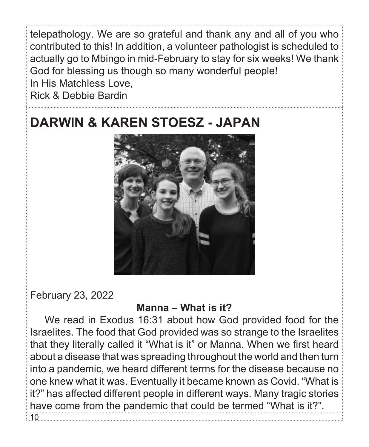telepathology. We are so grateful and thank any and all of you who contributed to this! In addition, a volunteer pathologist is scheduled to actually go to Mbingo in mid-February to stay for six weeks! We thank God for blessing us though so many wonderful people! In His Matchless Love, Rick & Debbie Bardin

# **DARWIN & KAREN STOESZ - JAPAN**



February 23, 2022

#### **Manna – What is it?**

We read in Exodus 16:31 about how God provided food for the Israelites. The food that God provided was so strange to the Israelites that they literally called it "What is it" or Manna. When we first heard about a disease that was spreading throughout the world and then turn into a pandemic, we heard different terms for the disease because no one knew what it was. Eventually it became known as Covid. "What is it?" has affected different people in different ways. Many tragic stories have come from the pandemic that could be termed "What is it?". 10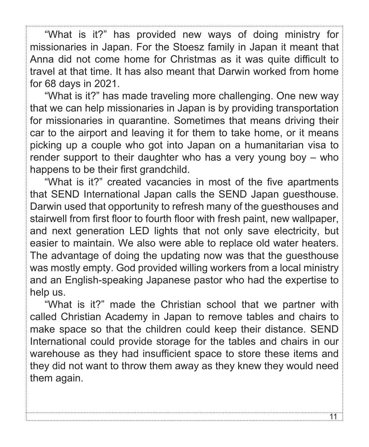"What is it?" has provided new ways of doing ministry for missionaries in Japan. For the Stoesz family in Japan it meant that Anna did not come home for Christmas as it was quite difficult to travel at that time. It has also meant that Darwin worked from home for 68 days in 2021.

"What is it?" has made traveling more challenging. One new way that we can help missionaries in Japan is by providing transportation for missionaries in quarantine. Sometimes that means driving their car to the airport and leaving it for them to take home, or it means picking up a couple who got into Japan on a humanitarian visa to render support to their daughter who has a very young boy – who happens to be their first grandchild.

"What is it?" created vacancies in most of the five apartments that SEND International Japan calls the SEND Japan guesthouse. Darwin used that opportunity to refresh many of the guesthouses and stairwell from first floor to fourth floor with fresh paint, new wallpaper, and next generation LED lights that not only save electricity, but easier to maintain. We also were able to replace old water heaters. The advantage of doing the updating now was that the guesthouse was mostly empty. God provided willing workers from a local ministry and an English-speaking Japanese pastor who had the expertise to help us.

"What is it?" made the Christian school that we partner with called Christian Academy in Japan to remove tables and chairs to make space so that the children could keep their distance. SEND International could provide storage for the tables and chairs in our warehouse as they had insufficient space to store these items and they did not want to throw them away as they knew they would need them again.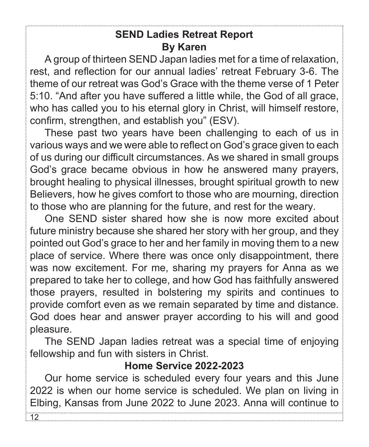### **SEND Ladies Retreat Report By Karen**

A group of thirteen SEND Japan ladies met for a time of relaxation, rest, and reflection for our annual ladies' retreat February 3-6. The theme of our retreat was God's Grace with the theme verse of 1 Peter 5:10. "And after you have suffered a little while, the God of all grace, who has called you to his eternal glory in Christ, will himself restore, confirm, strengthen, and establish you" (ESV).

These past two years have been challenging to each of us in various ways and we were able to reflect on God's grace given to each of us during our difficult circumstances. As we shared in small groups God's grace became obvious in how he answered many prayers, brought healing to physical illnesses, brought spiritual growth to new Believers, how he gives comfort to those who are mourning, direction to those who are planning for the future, and rest for the weary.

One SEND sister shared how she is now more excited about future ministry because she shared her story with her group, and they pointed out God's grace to her and her family in moving them to a new place of service. Where there was once only disappointment, there was now excitement. For me, sharing my prayers for Anna as we prepared to take her to college, and how God has faithfully answered those prayers, resulted in bolstering my spirits and continues to provide comfort even as we remain separated by time and distance. God does hear and answer prayer according to his will and good pleasure.

The SEND Japan ladies retreat was a special time of enjoying fellowship and fun with sisters in Christ.

### **Home Service 2022-2023**

Our home service is scheduled every four years and this June 2022 is when our home service is scheduled. We plan on living in Elbing, Kansas from June 2022 to June 2023. Anna will continue to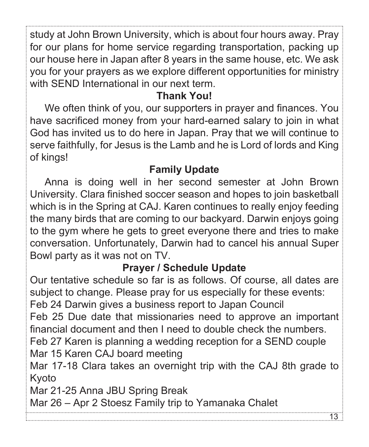study at John Brown University, which is about four hours away. Pray for our plans for home service regarding transportation, packing up our house here in Japan after 8 years in the same house, etc. We ask you for your prayers as we explore different opportunities for ministry with SEND International in our next term.

### **Thank You!**

We often think of you, our supporters in prayer and finances. You have sacrificed money from your hard-earned salary to join in what God has invited us to do here in Japan. Pray that we will continue to serve faithfully, for Jesus is the Lamb and he is Lord of lords and King of kings!

### **Family Update**

Anna is doing well in her second semester at John Brown University. Clara finished soccer season and hopes to join basketball which is in the Spring at CAJ. Karen continues to really enjoy feeding the many birds that are coming to our backyard. Darwin enjoys going to the gym where he gets to greet everyone there and tries to make conversation. Unfortunately, Darwin had to cancel his annual Super Bowl party as it was not on TV.

## **Prayer / Schedule Update**

Our tentative schedule so far is as follows. Of course, all dates are subject to change. Please pray for us especially for these events:

Feb 24 Darwin gives a business report to Japan Council

Feb 25 Due date that missionaries need to approve an important financial document and then I need to double check the numbers.

Feb 27 Karen is planning a wedding reception for a SEND couple Mar 15 Karen CAJ board meeting

Mar 17-18 Clara takes an overnight trip with the CAJ 8th grade to Kyoto

Mar 21-25 Anna JBU Spring Break

Mar 26 – Apr 2 Stoesz Family trip to Yamanaka Chalet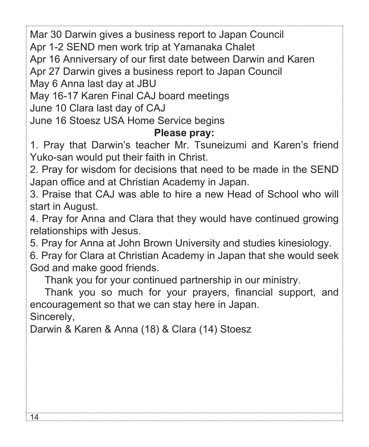Mar 30 Darwin gives a business report to Japan Council

Apr 1-2 SEND men work trip at Yamanaka Chalet

Apr 16 Anniversary of our first date between Darwin and Karen

Apr 27 Darwin gives a business report to Japan Council

May 6 Anna last day at JBU

May 16-17 Karen Final CAJ board meetings

June 10 Clara last day of CAJ

June 16 Stoesz USA Home Service begins

#### **Please pray:**

1. Pray that Darwin's teacher Mr. Tsuneizumi and Karen's friend Yuko-san would put their faith in Christ.

2. Pray for wisdom for decisions that need to be made in the SEND Japan office and at Christian Academy in Japan.

3. Praise that CAJ was able to hire a new Head of School who will start in August.

4. Pray for Anna and Clara that they would have continued growing relationships with Jesus.

5. Pray for Anna at John Brown University and studies kinesiology.

6. Pray for Clara at Christian Academy in Japan that she would seek God and make good friends.

Thank you for your continued partnership in our ministry.

Thank you so much for your prayers, financial support, and encouragement so that we can stay here in Japan.

Sincerely,

ા4.

Darwin & Karen & Anna (18) & Clara (14) Stoesz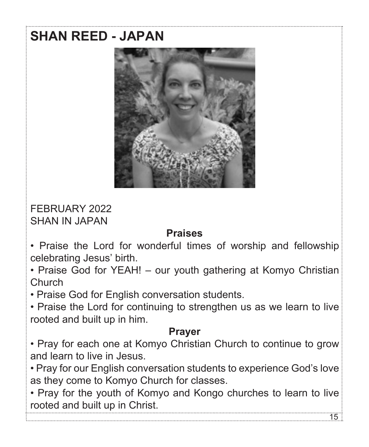# **SHAN REED - JAPAN**



FEBRUARY 2022 SHAN IN JAPAN

#### **Praises**

• Praise the Lord for wonderful times of worship and fellowship celebrating Jesus' birth.

• Praise God for YEAH! – our youth gathering at Komyo Christian Church

• Praise God for English conversation students.

• Praise the Lord for continuing to strengthen us as we learn to live rooted and built up in him.

### **Prayer**

• Pray for each one at Komyo Christian Church to continue to grow and learn to live in Jesus.

• Pray for our English conversation students to experience God's love as they come to Komyo Church for classes.

• Pray for the youth of Komyo and Kongo churches to learn to live rooted and built up in Christ.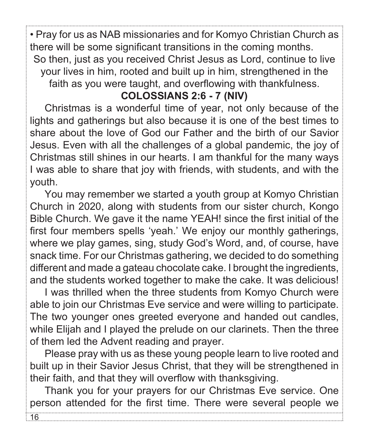• Pray for us as NAB missionaries and for Komyo Christian Church as there will be some significant transitions in the coming months. So then, just as you received Christ Jesus as Lord, continue to live your lives in him, rooted and built up in him, strengthened in the faith as you were taught, and overflowing with thankfulness.

### **COLOSSIANS 2:6 - 7 (NIV)**

Christmas is a wonderful time of year, not only because of the lights and gatherings but also because it is one of the best times to share about the love of God our Father and the birth of our Savior Jesus. Even with all the challenges of a global pandemic, the joy of Christmas still shines in our hearts. I am thankful for the many ways I was able to share that joy with friends, with students, and with the youth.

You may remember we started a youth group at Komyo Christian Church in 2020, along with students from our sister church, Kongo Bible Church. We gave it the name YEAH! since the first initial of the first four members spells 'yeah.' We enjoy our monthly gatherings, where we play games, sing, study God's Word, and, of course, have snack time. For our Christmas gathering, we decided to do something different and made a gateau chocolate cake. I brought the ingredients, and the students worked together to make the cake. It was delicious!

I was thrilled when the three students from Komyo Church were able to join our Christmas Eve service and were willing to participate. The two younger ones greeted everyone and handed out candles, while Elijah and I played the prelude on our clarinets. Then the three of them led the Advent reading and prayer.

Please pray with us as these young people learn to live rooted and built up in their Savior Jesus Christ, that they will be strengthened in their faith, and that they will overflow with thanksgiving.

Thank you for your prayers for our Christmas Eve service. One person attended for the first time. There were several people we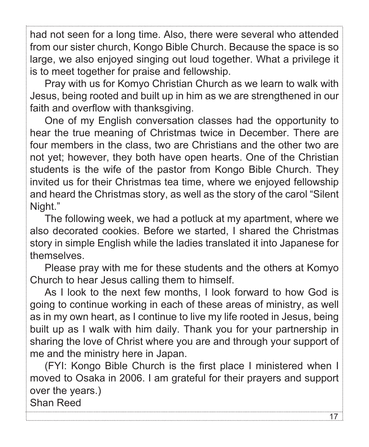had not seen for a long time. Also, there were several who attended from our sister church, Kongo Bible Church. Because the space is so large, we also enjoyed singing out loud together. What a privilege it is to meet together for praise and fellowship.

Pray with us for Komyo Christian Church as we learn to walk with Jesus, being rooted and built up in him as we are strengthened in our faith and overflow with thanksgiving.

One of my English conversation classes had the opportunity to hear the true meaning of Christmas twice in December. There are four members in the class, two are Christians and the other two are not yet; however, they both have open hearts. One of the Christian students is the wife of the pastor from Kongo Bible Church. They invited us for their Christmas tea time, where we enjoyed fellowship and heard the Christmas story, as well as the story of the carol "Silent Night."

The following week, we had a potluck at my apartment, where we also decorated cookies. Before we started, I shared the Christmas story in simple English while the ladies translated it into Japanese for themselves.

Please pray with me for these students and the others at Komyo Church to hear Jesus calling them to himself.

As I look to the next few months, I look forward to how God is going to continue working in each of these areas of ministry, as well as in my own heart, as I continue to live my life rooted in Jesus, being built up as I walk with him daily. Thank you for your partnership in sharing the love of Christ where you are and through your support of me and the ministry here in Japan.

(FYI: Kongo Bible Church is the first place I ministered when I moved to Osaka in 2006. I am grateful for their prayers and support over the years.)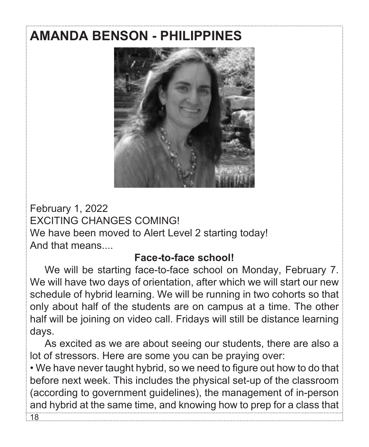# **AMANDA BENSON - PHILIPPINES**



February 1, 2022 EXCITING CHANGES COMING! We have been moved to Alert Level 2 starting today! And that means....

18

#### **Face-to-face school!**

We will be starting face-to-face school on Monday, February 7. We will have two days of orientation, after which we will start our new schedule of hybrid learning. We will be running in two cohorts so that only about half of the students are on campus at a time. The other half will be joining on video call. Fridays will still be distance learning days.

As excited as we are about seeing our students, there are also a lot of stressors. Here are some you can be praying over:

• We have never taught hybrid, so we need to figure out how to do that before next week. This includes the physical set-up of the classroom (according to government guidelines), the management of in-person and hybrid at the same time, and knowing how to prep for a class that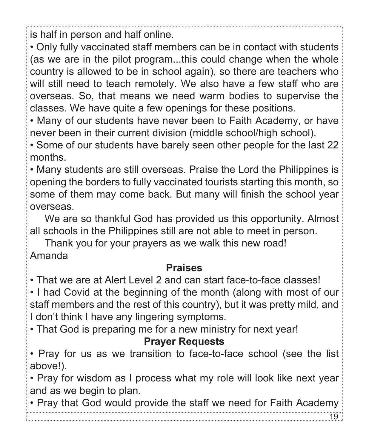is half in person and half online.

• Only fully vaccinated staff members can be in contact with students (as we are in the pilot program...this could change when the whole country is allowed to be in school again), so there are teachers who will still need to teach remotely. We also have a few staff who are overseas. So, that means we need warm bodies to supervise the classes. We have quite a few openings for these positions.

• Many of our students have never been to Faith Academy, or have never been in their current division (middle school/high school).

• Some of our students have barely seen other people for the last 22 months.

• Many students are still overseas. Praise the Lord the Philippines is opening the borders to fully vaccinated tourists starting this month, so some of them may come back. But many will finish the school year overseas.

We are so thankful God has provided us this opportunity. Almost all schools in the Philippines still are not able to meet in person.

Thank you for your prayers as we walk this new road! Amanda

### **Praises**

• That we are at Alert Level 2 and can start face-to-face classes!

• I had Covid at the beginning of the month (along with most of our staff members and the rest of this country), but it was pretty mild, and I don't think I have any lingering symptoms.

• That God is preparing me for a new ministry for next year!

#### **Prayer Requests**

• Pray for us as we transition to face-to-face school (see the list above!).

• Pray for wisdom as I process what my role will look like next year and as we begin to plan.

• Pray that God would provide the staff we need for Faith Academy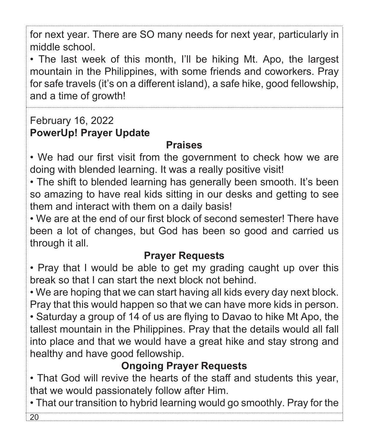for next year. There are SO many needs for next year, particularly in middle school.

• The last week of this month, I'll be hiking Mt. Apo, the largest mountain in the Philippines, with some friends and coworkers. Pray for safe travels (it's on a different island), a safe hike, good fellowship, and a time of growth!

## February 16, 2022 **PowerUp! Prayer Update**

## **Praises**

• We had our first visit from the government to check how we are doing with blended learning. It was a really positive visit!

• The shift to blended learning has generally been smooth. It's been so amazing to have real kids sitting in our desks and getting to see them and interact with them on a daily basis!

• We are at the end of our first block of second semester! There have been a lot of changes, but God has been so good and carried us through it all.

## **Prayer Requests**

• Pray that I would be able to get my grading caught up over this break so that I can start the next block not behind.

• We are hoping that we can start having all kids every day next block. Pray that this would happen so that we can have more kids in person. • Saturday a group of 14 of us are flying to Davao to hike Mt Apo, the tallest mountain in the Philippines. Pray that the details would all fall into place and that we would have a great hike and stay strong and healthy and have good fellowship.

## **Ongoing Prayer Requests**

• That God will revive the hearts of the staff and students this year, that we would passionately follow after Him.

• That our transition to hybrid learning would go smoothly. Pray for the 20